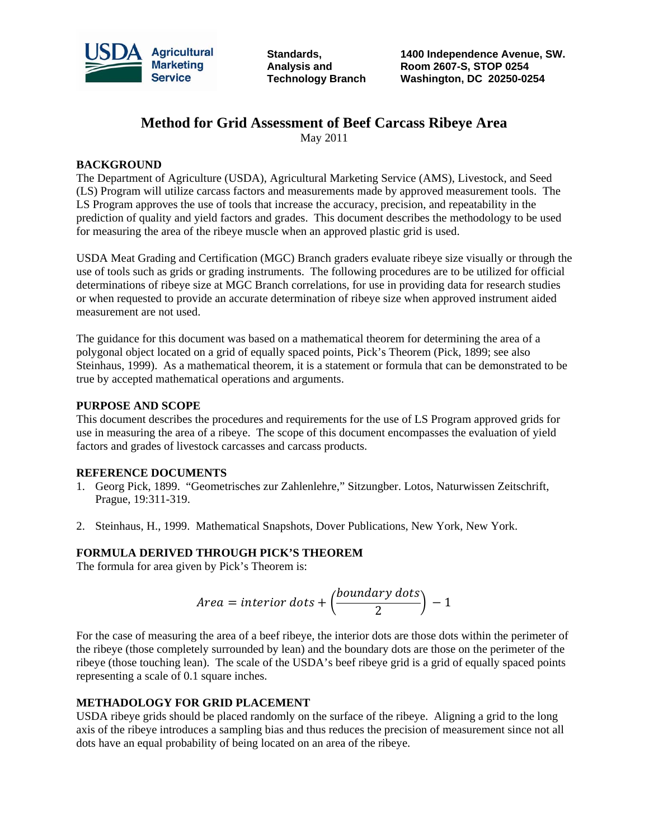

**Standards, 1400 Independence Avenue, SW. Analysis and Room 2607-S, STOP 0254 Technology Branch Washington, DC 20250-0254** 

# **Method for Grid Assessment of Beef Carcass Ribeye Area**

May 2011

#### **BACKGROUND**

The Department of Agriculture (USDA), Agricultural Marketing Service (AMS), Livestock, and Seed (LS) Program will utilize carcass factors and measurements made by approved measurement tools. The LS Program approves the use of tools that increase the accuracy, precision, and repeatability in the prediction of quality and yield factors and grades. This document describes the methodology to be used for measuring the area of the ribeye muscle when an approved plastic grid is used.

USDA Meat Grading and Certification (MGC) Branch graders evaluate ribeye size visually or through the use of tools such as grids or grading instruments. The following procedures are to be utilized for official determinations of ribeye size at MGC Branch correlations, for use in providing data for research studies or when requested to provide an accurate determination of ribeye size when approved instrument aided measurement are not used.

The guidance for this document was based on a mathematical theorem for determining the area of a polygonal object located on a grid of equally spaced points, Pick's Theorem (Pick, 1899; see also Steinhaus, 1999). As a mathematical theorem, it is a statement or formula that can be demonstrated to be true by accepted mathematical operations and arguments.

### **PURPOSE AND SCOPE**

This document describes the procedures and requirements for the use of LS Program approved grids for use in measuring the area of a ribeye. The scope of this document encompasses the evaluation of yield factors and grades of livestock carcasses and carcass products.

#### **REFERENCE DOCUMENTS**

- 1. Georg Pick, 1899. "Geometrisches zur Zahlenlehre," Sitzungber. Lotos, Naturwissen Zeitschrift, Prague, 19:311-319.
- 2. Steinhaus, H., 1999. Mathematical Snapshots, Dover Publications, New York, New York.

# **FORMULA DERIVED THROUGH PICK'S THEOREM**

The formula for area given by Pick's Theorem is:

$$
Area = interior \, dots + \left(\frac{boundary \, dots}{2}\right) - 1
$$

For the case of measuring the area of a beef ribeye, the interior dots are those dots within the perimeter of the ribeye (those completely surrounded by lean) and the boundary dots are those on the perimeter of the ribeye (those touching lean). The scale of the USDA's beef ribeye grid is a grid of equally spaced points representing a scale of 0.1 square inches.

# **METHADOLOGY FOR GRID PLACEMENT**

USDA ribeye grids should be placed randomly on the surface of the ribeye. Aligning a grid to the long axis of the ribeye introduces a sampling bias and thus reduces the precision of measurement since not all dots have an equal probability of being located on an area of the ribeye.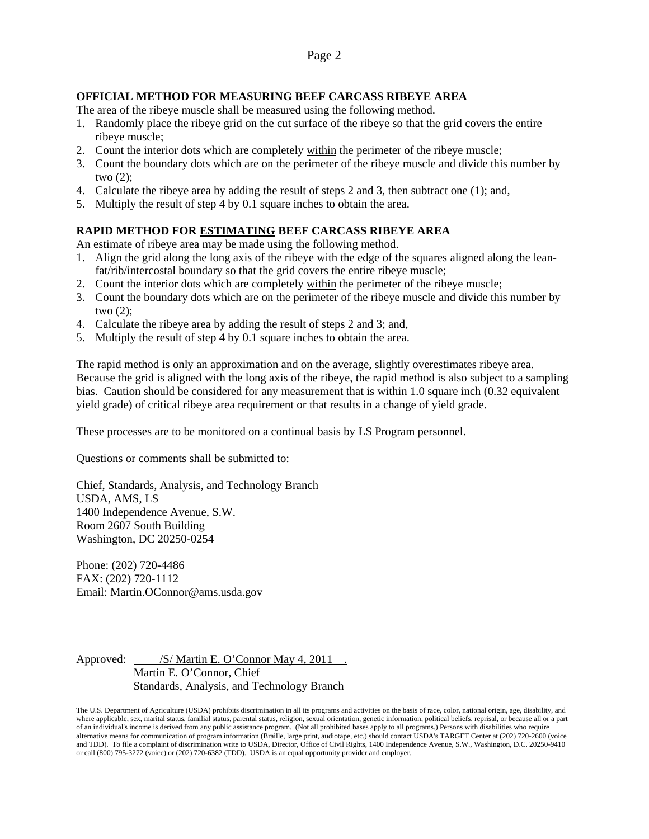### **OFFICIAL METHOD FOR MEASURING BEEF CARCASS RIBEYE AREA**

The area of the ribeye muscle shall be measured using the following method.

- 1. Randomly place the ribeye grid on the cut surface of the ribeye so that the grid covers the entire ribeye muscle;
- 2. Count the interior dots which are completely within the perimeter of the ribeye muscle;
- 3. Count the boundary dots which are on the perimeter of the ribeye muscle and divide this number by two (2);
- 4. Calculate the ribeye area by adding the result of steps 2 and 3, then subtract one (1); and,
- 5. Multiply the result of step 4 by 0.1 square inches to obtain the area.

# **RAPID METHOD FOR ESTIMATING BEEF CARCASS RIBEYE AREA**

An estimate of ribeye area may be made using the following method.

- 1. Align the grid along the long axis of the ribeye with the edge of the squares aligned along the leanfat/rib/intercostal boundary so that the grid covers the entire ribeye muscle;
- 2. Count the interior dots which are completely within the perimeter of the ribeye muscle;
- 3. Count the boundary dots which are on the perimeter of the ribeye muscle and divide this number by two (2);
- 4. Calculate the ribeye area by adding the result of steps 2 and 3; and,
- 5. Multiply the result of step 4 by 0.1 square inches to obtain the area.

The rapid method is only an approximation and on the average, slightly overestimates ribeye area. Because the grid is aligned with the long axis of the ribeye, the rapid method is also subject to a sampling bias. Caution should be considered for any measurement that is within 1.0 square inch (0.32 equivalent yield grade) of critical ribeye area requirement or that results in a change of yield grade.

These processes are to be monitored on a continual basis by LS Program personnel.

Questions or comments shall be submitted to:

Chief, Standards, Analysis, and Technology Branch USDA, AMS, LS 1400 Independence Avenue, S.W. Room 2607 South Building Washington, DC 20250-0254

Phone: (202) 720-4486 FAX: (202) 720-1112 Email: Martin.OConnor@ams.usda.gov

Approved: /S/ Martin E. O'Connor May 4, 2011 . Martin E. O'Connor, Chief Standards, Analysis, and Technology Branch

The U.S. Department of Agriculture (USDA) prohibits discrimination in all its programs and activities on the basis of race, color, national origin, age, disability, and where applicable, sex, marital status, familial status, parental status, religion, sexual orientation, genetic information, political beliefs, reprisal, or because all or a part of an individual's income is derived from any public assistance program. (Not all prohibited bases apply to all programs.) Persons with disabilities who require alternative means for communication of program information (Braille, large print, audiotape, etc.) should contact USDA's TARGET Center at (202) 720-2600 (voice and TDD). To file a complaint of discrimination write to USDA, Director, Office of Civil Rights, 1400 Independence Avenue, S.W., Washington, D.C. 20250-9410 or call (800) 795-3272 (voice) or (202) 720-6382 (TDD). USDA is an equal opportunity provider and employer.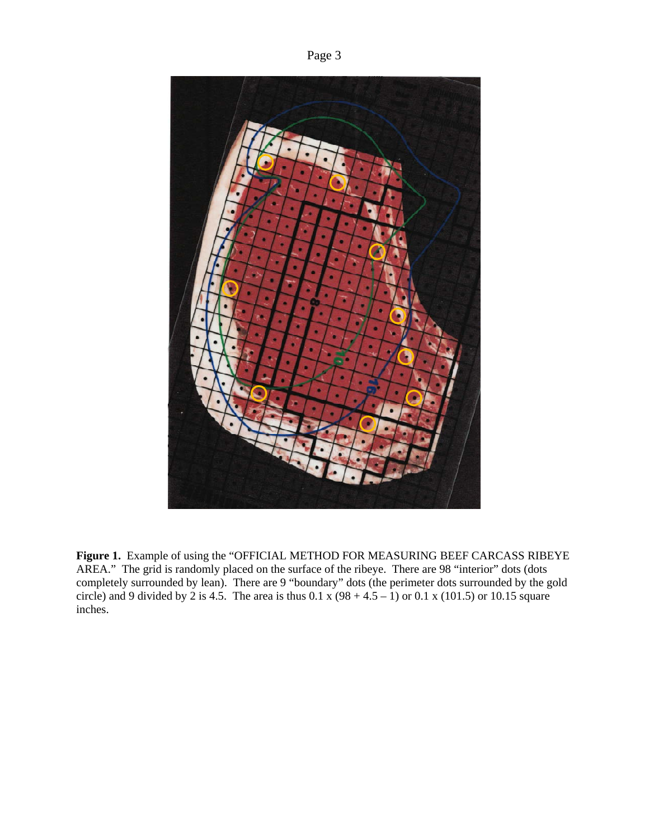



**Figure 1.** Example of using the "OFFICIAL METHOD FOR MEASURING BEEF CARCASS RIBEYE AREA."The grid is randomly placed on the surface of the ribeye. There are 98 "interior" dots (dots completely surrounded by lean). There are 9 "boundary" dots (the perimeter dots surrounded by the gold circle) and 9 divided by 2 is 4.5. The area is thus  $0.1 \times (98 + 4.5 - 1)$  or  $0.1 \times (101.5)$  or 10.15 square inches.